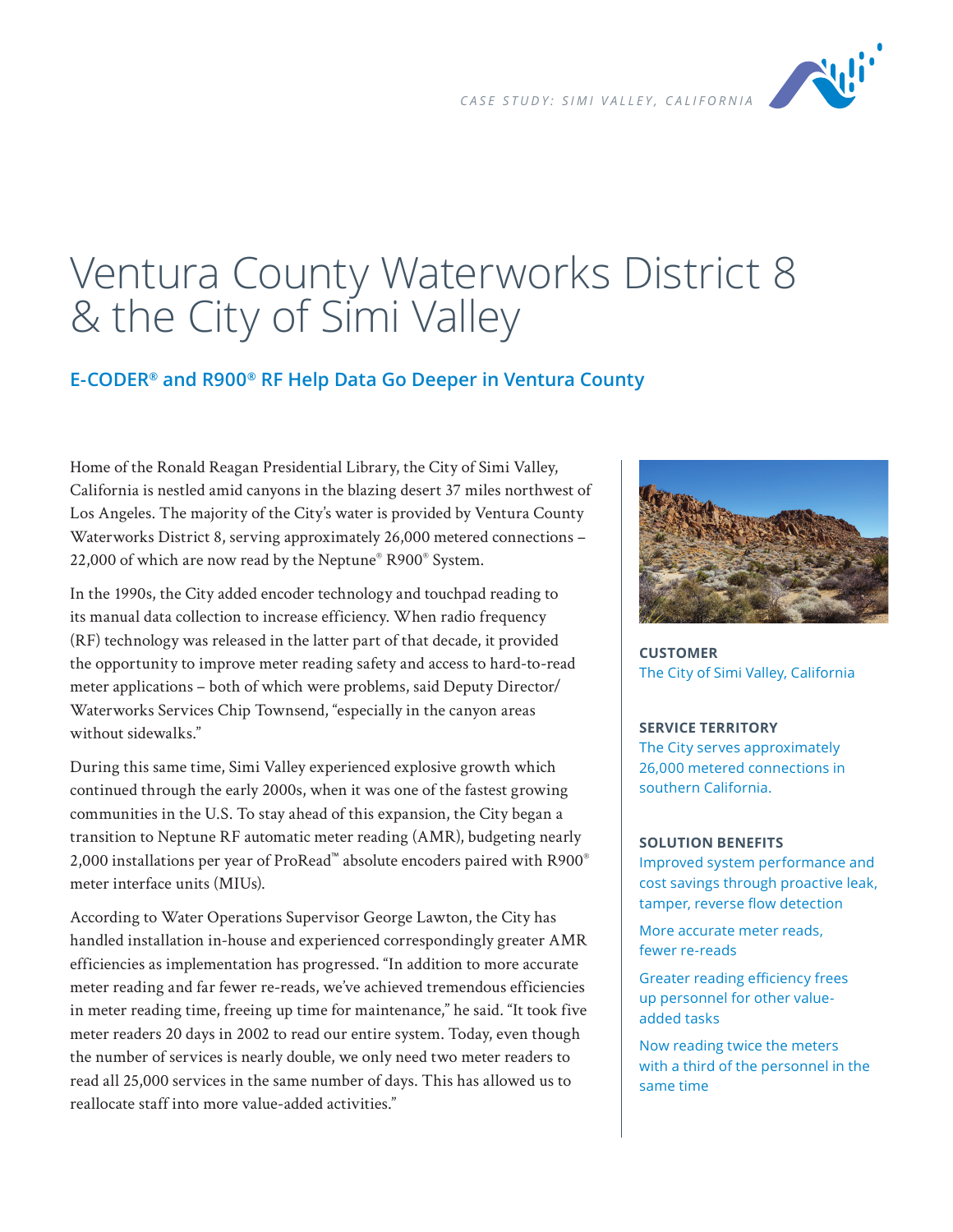

# Ventura County Waterworks District 8 & the City of Simi Valley

## **E-CODER® and R900® RF Help Data Go Deeper in Ventura County**

Home of the Ronald Reagan Presidential Library, the City of Simi Valley, California is nestled amid canyons in the blazing desert 37 miles northwest of Los Angeles. The majority of the City's water is provided by Ventura County Waterworks District 8, serving approximately 26,000 metered connections – 22,000 of which are now read by the Neptune® R900® System.

In the 1990s, the City added encoder technology and touchpad reading to its manual data collection to increase efficiency. When radio frequency (RF) technology was released in the latter part of that decade, it provided the opportunity to improve meter reading safety and access to hard-to-read meter applications – both of which were problems, said Deputy Director/ Waterworks Services Chip Townsend, "especially in the canyon areas without sidewalks."

During this same time, Simi Valley experienced explosive growth which continued through the early 2000s, when it was one of the fastest growing communities in the U.S. To stay ahead of this expansion, the City began a transition to Neptune RF automatic meter reading (AMR), budgeting nearly 2,000 installations per year of ProRead™ absolute encoders paired with R900® meter interface units (MIUs).

According to Water Operations Supervisor George Lawton, the City has handled installation in-house and experienced correspondingly greater AMR efficiencies as implementation has progressed. "In addition to more accurate meter reading and far fewer re-reads, we've achieved tremendous efficiencies in meter reading time, freeing up time for maintenance," he said. "It took five meter readers 20 days in 2002 to read our entire system. Today, even though the number of services is nearly double, we only need two meter readers to read all 25,000 services in the same number of days. This has allowed us to reallocate staff into more value-added activities."



**CUSTOMER** The City of Simi Valley, California

#### **SERVICE TERRITORY**

The City serves approximately 26,000 metered connections in southern California.

#### **SOLUTION BENEFITS**

Improved system performance and cost savings through proactive leak, tamper, reverse flow detection

More accurate meter reads, fewer re-reads

Greater reading efficiency frees up personnel for other valueadded tasks

Now reading twice the meters with a third of the personnel in the same time